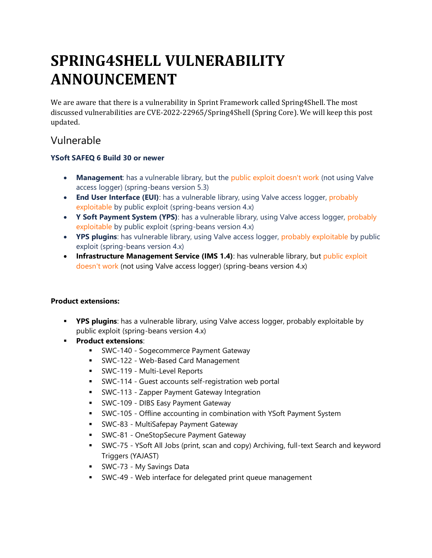# **SPRING4SHELL VULNERABILITY ANNOUNCEMENT**

We are aware that there is a vulnerability in Sprint Framework called Spring4Shell. The most discussed vulnerabilities are CVE-2022-22965/Spring4Shell (Spring Core). We will keep this post updated.

## Vulnerable

#### **YSoft SAFEQ 6 Build 30 or newer**

- Management: has a vulnerable library, but the public exploit doesn't work (not using Valve access logger) (spring-beans version 5.3)
- **End User Interface (EUI)**: has a vulnerable library, using Valve access logger, probably exploitable by public exploit (spring-beans version 4.x)
- **Y Soft Payment System (YPS)**: has a vulnerable library, using Valve access logger, *probably* exploitable by public exploit (spring-beans version 4.x)
- **YPS plugins**: has vulnerable library, using Valve access logger, probably exploitable by public exploit (spring-beans version 4.x)
- **Infrastructure Management Service (IMS 1.4)**: has vulnerable library, but public exploit doesn't work (not using Valve access logger) (spring-beans version 4.x)

#### **Product extensions:**

- **YPS plugins**: has a vulnerable library, using Valve access logger, probably exploitable by public exploit (spring-beans version 4.x)
- **Product extensions**:
	- **EXEC-140 Sogecommerce Payment Gateway**
	- **EXEC-122 Web-Based Card Management**
	- SWC-119 Multi-Level Reports
	- SWC-114 Guest accounts self-registration web portal
	- **EXEC-113 Zapper Payment Gateway Integration**
	- **EXEC-109 DIBS Easy Payment Gateway**
	- **EXALUTE:** SWC-105 Offline accounting in combination with YSoft Payment System
	- SWC-83 MultiSafepay Payment Gateway
	- **EXEC-81 OneStopSecure Payment Gateway**
	- **EXEC-75 YSoft All Jobs (print, scan and copy) Archiving, full-text Search and keyword** Triggers (YAJAST)
	- **EXEC-73 My Savings Data**
	- SWC-49 Web interface for delegated print queue management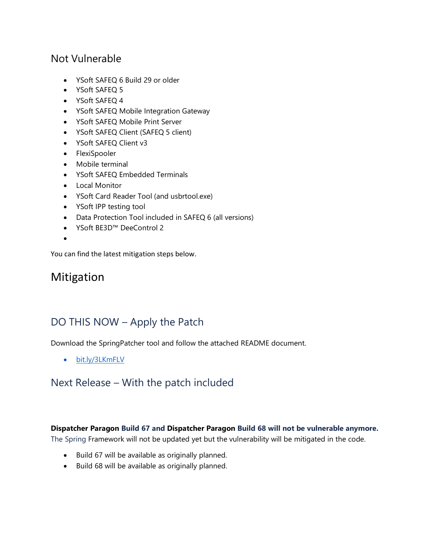## Not Vulnerable

- YSoft SAFEQ 6 Build 29 or older
- YSoft SAFEQ 5
- YSoft SAFEQ 4
- YSoft SAFEQ Mobile Integration Gateway
- YSoft SAFEQ Mobile Print Server
- YSoft SAFEQ Client (SAFEQ 5 client)
- YSoft SAFEQ Client v3
- FlexiSpooler
- Mobile terminal
- YSoft SAFEQ Embedded Terminals
- Local Monitor
- YSoft Card Reader Tool (and usbrtool.exe)
- YSoft IPP testing tool
- Data Protection Tool included in SAFEQ 6 (all versions)
- YSoft BE3D™ DeeControl 2
- •

You can find the latest mitigation steps below.

## Mitigation

# DO THIS NOW – Apply the Patch

Download the SpringPatcher tool and follow the attached README document.

• [bit.ly/3LKmFLV](https://bit.ly/3LKmFLV)

## Next Release – With the patch included

#### **Dispatcher Paragon Build 67 and Dispatcher Paragon Build 68 will not be vulnerable anymore.**

The Spring Framework will not be updated yet but the vulnerability will be mitigated in the code.

- Build 67 will be available as originally planned.
- Build 68 will be available as originally planned.